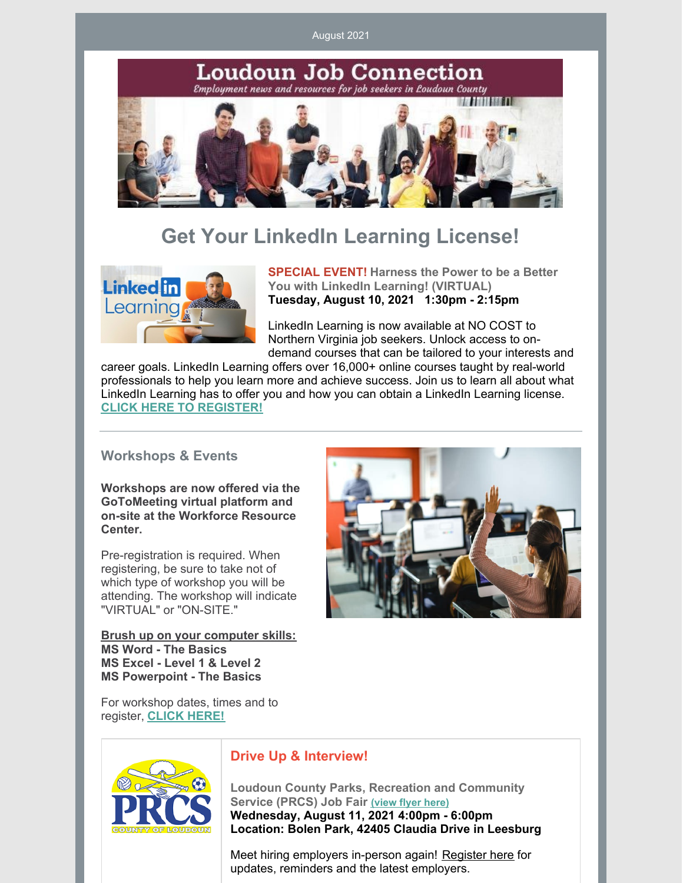August 2021



# **Get Your LinkedIn Learning License!**



**SPECIAL EVENT! Harness the Power to be a Better You with LinkedIn Learning! (VIRTUAL) Tuesday, August 10, 2021 1:30pm - 2:15pm**

LinkedIn Learning is now available at NO COST to Northern Virginia job seekers. Unlock access to ondemand courses that can be tailored to your interests and

career goals. LinkedIn Learning offers over 16,000+ online courses taught by real-world professionals to help you learn more and achieve success. Join us to learn all about what LinkedIn Learning has to offer you and how you can obtain a LinkedIn Learning license. **CLICK HERE TO [REGISTER!](https://interwapp14.loudoun.gov/wrcw/)**

### **Workshops & Events**

**Workshops are now offered via the GoToMeeting virtual platform and on-site at the Workforce Resource Center.**

Pre-registration is required. When registering, be sure to take not of which type of workshop you will be attending. The workshop will indicate "VIRTUAL" or "ON-SITF."

**Brush up on your computer skills: MS Word - The Basics MS Excel - Level 1 & Level 2 MS Powerpoint - The Basics**



For workshop dates, times and to register, **CLICK [HERE!](https://interwapp14.loudoun.gov/wrcw/)**



# **Drive Up & Interview!**

**Loudoun County Parks, Recreation and Community Service (PRCS) Job Fair [\(view](https://www.loudoun.gov/DocumentCenter/View/166196/PRCS-Job-Fair-flier) flyer here) Wednesday, August 11, 2021 4:00pm - 6:00pm Location: Bolen Park, 42405 Claudia Drive in Leesburg**

Meet hiring employers in-person again! [Register](https://www.eventbrite.com/e/loudoun-county-job-fair-tickets-164015299175) here for updates, reminders and the latest employers.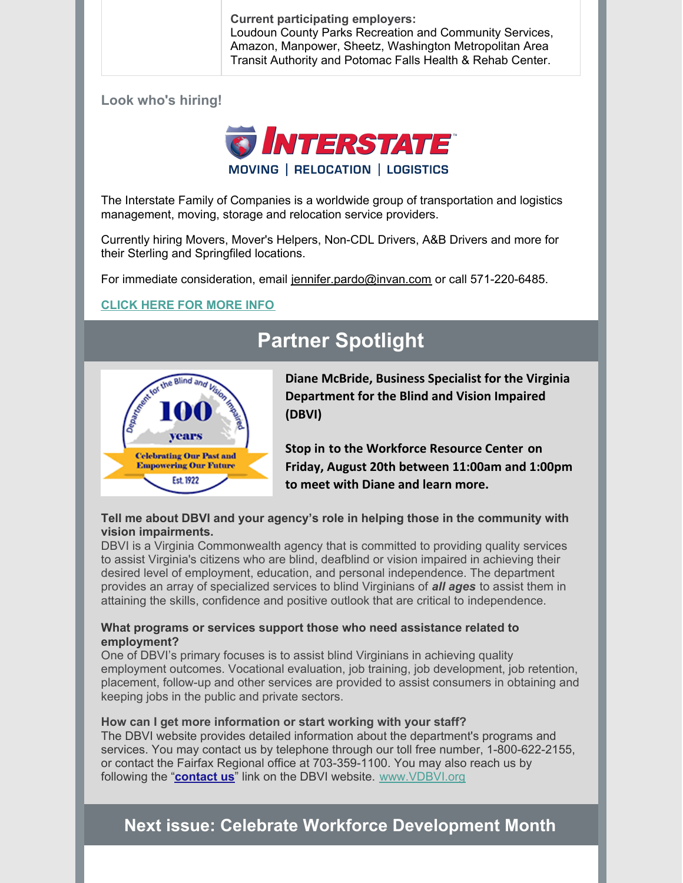**Current participating employers:** Loudoun County Parks Recreation and Community Services, Amazon, Manpower, Sheetz, Washington Metropolitan Area Transit Authority and Potomac Falls Health & Rehab Center.

**Look who's hiring!**



The Interstate Family of Companies is a worldwide group of transportation and logistics management, moving, storage and relocation service providers.

Currently hiring Movers, Mover's Helpers, Non-CDL Drivers, A&B Drivers and more for their Sterling and Springfiled locations.

For immediate consideration, email [jennifer.pardo@invan.com](mailto:jennifer.pardo@invan.com) or call 571-220-6485.

# **[CLICK](https://moveinterstate.com/careers/?utm_source=email&utm_medium=email&utm_campaign=college job fair) HERE FOR MORE INFO**

# **Partner Spotlight**



**Diane McBride, Business Specialist for the Virginia Department for the Blind and Vision Impaired (DBVI)**

**Stop in to the Workforce Resource Center on Friday, August 20th between 11:00am and 1:00pm to meet with Diane and learn more.**

## **Tell me about DBVI and your agency's role in helping those in the community with vision impairments.**

DBVI is a Virginia Commonwealth agency that is committed to providing quality services to assist Virginia's citizens who are blind, deafblind or vision impaired in achieving their desired level of employment, education, and personal independence. The department provides an array of specialized services to blind Virginians of *all ages* to assist them in attaining the skills, confidence and positive outlook that are critical to independence.

## **What programs or services support those who need assistance related to employment?**

One of DBVI's primary focuses is to assist blind Virginians in achieving quality employment outcomes. Vocational evaluation, job training, job development, job retention, placement, follow-up and other services are provided to assist consumers in obtaining and keeping jobs in the public and private sectors.

#### **How can I get more information or start working with your staff?**

The DBVI website provides detailed information about the department's programs and services. You may contact us by telephone through our toll free number, 1-800-622-2155, or contact the Fairfax Regional office at 703-359-1100. You may also reach us by following the "**[contact](https://www.vdbvi.org/staff.htm) us**" link on the DBVI website. [www.VDBVI.org](http://www.vdbvi.org/)

# **Next issue: Celebrate Workforce Development Month**